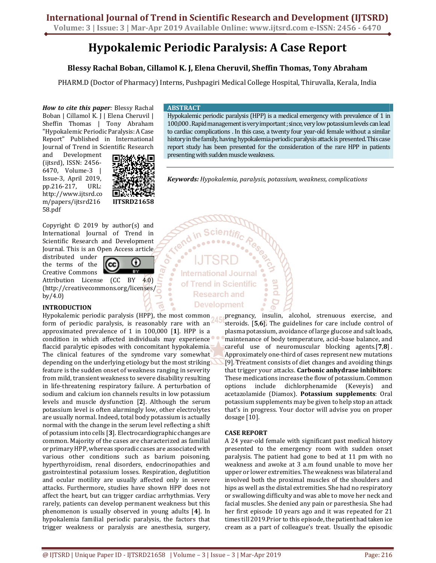# Hypokalemic Periodic Paralysis: A Case Report

## Blessy Rachal Boban, Cillamol K. J, Elena Cheruvil, Sheffin Thomas, Tony Abraham

PHARM.D (Doctor of Pharmacy) Interns, Pushpagiri Medical College Hospital, Thiruvalla, Kerala, India

How to cite this paper: Blessy Rachal Boban | Cillamol K. J | Elena Cheruvil | Sheffin Thomas | Tony Abraham "Hypokalemic Periodic Paralysis: A Case Report" Published in International Journal of Trend in Scientific Research

and Development (ijtsrd), ISSN: 2456- 6470, Volume-3 | Issue-3, April 2019, pp.216-217, URL: http://www.ijtsrd.co m/papers/ijtsrd216 58.pdf



Copyright © 2019 by author(s) and International Journal of Trend in Scientific Research and Development Journal. This is an Open Access article

distributed under the terms of the Creative Commons



စဲ

6

Attribution License (CC BY 4.0) (http://creativecommons.org/licenses/ by/4.0)

## INTRODUCTION

Hypokalemic periodic paralysis (HPP), the most common form of periodic paralysis, is reasonably rare with an approximated prevalence of 1 in 100,000 [1]. HPP is a condition in which affected individuals may experience flaccid paralytic episodes with concomitant hypokalemia. The clinical features of the syndrome vary somewhat depending on the underlying etiology but the most striking feature is the sudden onset of weakness ranging in severity from mild, transient weakness to severe disability resulting in life-threatening respiratory failure. A perturbation of sodium and calcium ion channels results in low potassium levels and muscle dysfunction [2]. Although the serum potassium level is often alarmingly low, other electrolytes are usually normal. Indeed, total body potassium is actually normal with the change in the serum level reflecting a shift of potassium into cells [3]. Electrocardiographic changes are common. Majority of the cases are characterized as familial or primary HPP, whereas sporadic cases are associated with various other conditions such as barium poisoning, hyperthyroidism, renal disorders, endocrinopathies and gastrointestinal potassium losses. Respiration, deglutition and ocular motility are usually affected only in severe attacks. Furthermore, studies have shown HPP does not affect the heart, but can trigger cardiac arrhythmias. Very rarely, patients can develop permanent weakness but this phenomenon is usually observed in young adults [4]. In hypokalemia familial periodic paralysis, the factors that trigger weakness or paralysis are anesthesia, surgery,

## **ABSTRACT**

Hypokalemic periodic paralysis (HPP) is a medical emergency with prevalence of 1 in 100,000 . Rapid management is very important ; since, very low potassium levels can lead to cardiac complications . In this case, a twenty four year-old female without a similar history in the family, having hypokalemia periodic paralysis attack is presented. This case report study has been presented for the consideration of the rare HPP in patients presenting with sudden muscle weakness.

Keywords: Hypokalemia, paralysis, potassium, weakness, complications

e<br>E

**International Journal** of Trend in Scientific **Research and Development** 

> pregnancy, insulin, alcohol, strenuous exercise, and steroids. [5,6]. The guidelines for care include control of plasma potassium, avoidance of large glucose and salt loads, maintenance of body temperature, acid–base balance, and careful use of neuromuscular blocking agents.<sup>[7,8]</sup>. Approximately one-third of cases represent new mutations [9]. Treatment consists of diet changes and avoiding things that trigger your attacks. Carbonic anhydrase inhibitors: These medications increase the flow of potassium. Common options include dichlorphenamide (Keveyis) and acetazolamide (Diamox). Potassium supplements: Oral potassium supplements may be given to help stop an attack that's in progress. Your doctor will advise you on proper dosage [10].

## CASE REPORT

A 24 year-old female with significant past medical history presented to the emergency room with sudden onset paralysis. The patient had gone to bed at 11 pm with no weakness and awoke at 3 a.m found unable to move her upper or lower extremities. The weakness was bilateral and involved both the proximal muscles of the shoulders and hips as well as the distal extremities. She had no respiratory or swallowing difficulty and was able to move her neck and facial muscles. She denied any pain or paresthesia. She had her first episode 10 years ago and it was repeated for 21 times till 2019.Prior to this episode, the patient had taken ice cream as a part of colleague's treat. Usually the episodic